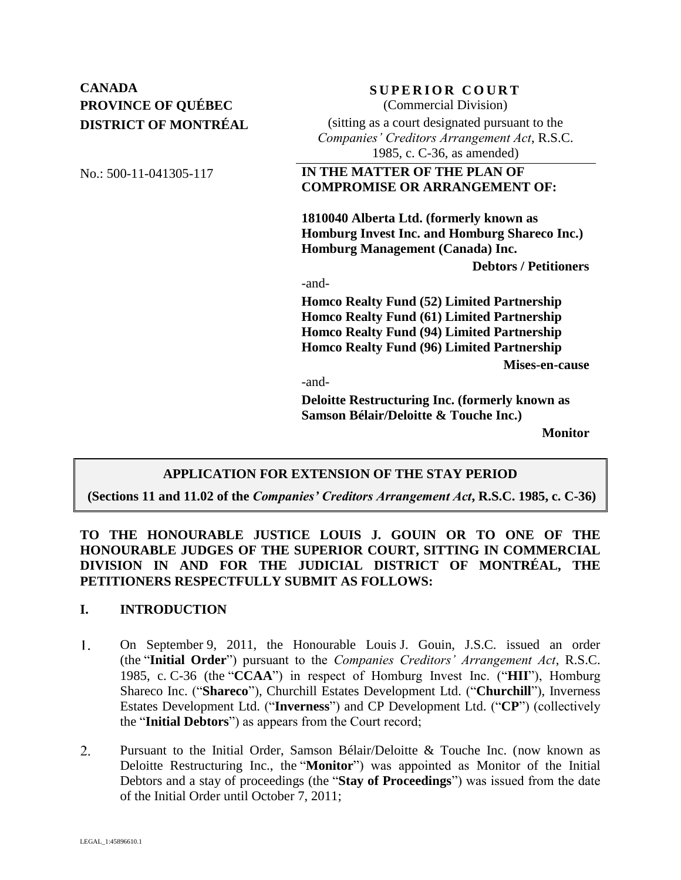# **CANADA SUPERIOR COURT PROVINCE OF QUÉBEC DISTRICT OF MONTRÉAL**

(Commercial Division)

(sitting as a court designated pursuant to the *Companies' Creditors Arrangement Act*, R.S.C. 1985, c. C-36, as amended)

# No.: 500-11-041305-117 **IN THE MATTER OF THE PLAN OF COMPROMISE OR ARRANGEMENT OF:**

**1810040 Alberta Ltd. (formerly known as Homburg Invest Inc. and Homburg Shareco Inc.) Homburg Management (Canada) Inc.** 

**Debtors / Petitioners**

-and-

**Homco Realty Fund (52) Limited Partnership Homco Realty Fund (61) Limited Partnership Homco Realty Fund (94) Limited Partnership Homco Realty Fund (96) Limited Partnership**

**Mises-en-cause**

-and-

**Deloitte Restructuring Inc. (formerly known as Samson Bélair/Deloitte & Touche Inc.)**

**Monitor**

# **APPLICATION FOR EXTENSION OF THE STAY PERIOD**

**(Sections 11 and 11.02 of the** *Companies' Creditors Arrangement Act***, R.S.C. 1985, c. C-36)**

**TO THE HONOURABLE JUSTICE LOUIS J. GOUIN OR TO ONE OF THE HONOURABLE JUDGES OF THE SUPERIOR COURT, SITTING IN COMMERCIAL DIVISION IN AND FOR THE JUDICIAL DISTRICT OF MONTRÉAL, THE PETITIONERS RESPECTFULLY SUBMIT AS FOLLOWS:**

### **I. INTRODUCTION**

- $1<sub>1</sub>$ On September 9, 2011, the Honourable Louis J. Gouin, J.S.C. issued an order (the "**Initial Order**") pursuant to the *Companies Creditors' Arrangement Act*, R.S.C. 1985, c. C-36 (the "**CCAA**") in respect of Homburg Invest Inc. ("**HII**"), Homburg Shareco Inc. ("**Shareco**"), Churchill Estates Development Ltd. ("**Churchill**"), Inverness Estates Development Ltd. ("**Inverness**") and CP Development Ltd. ("**CP**") (collectively the "**Initial Debtors**") as appears from the Court record;
- $2.$ Pursuant to the Initial Order, Samson Bélair/Deloitte & Touche Inc. (now known as Deloitte Restructuring Inc., the "**Monitor**") was appointed as Monitor of the Initial Debtors and a stay of proceedings (the "**Stay of Proceedings**") was issued from the date of the Initial Order until October 7, 2011;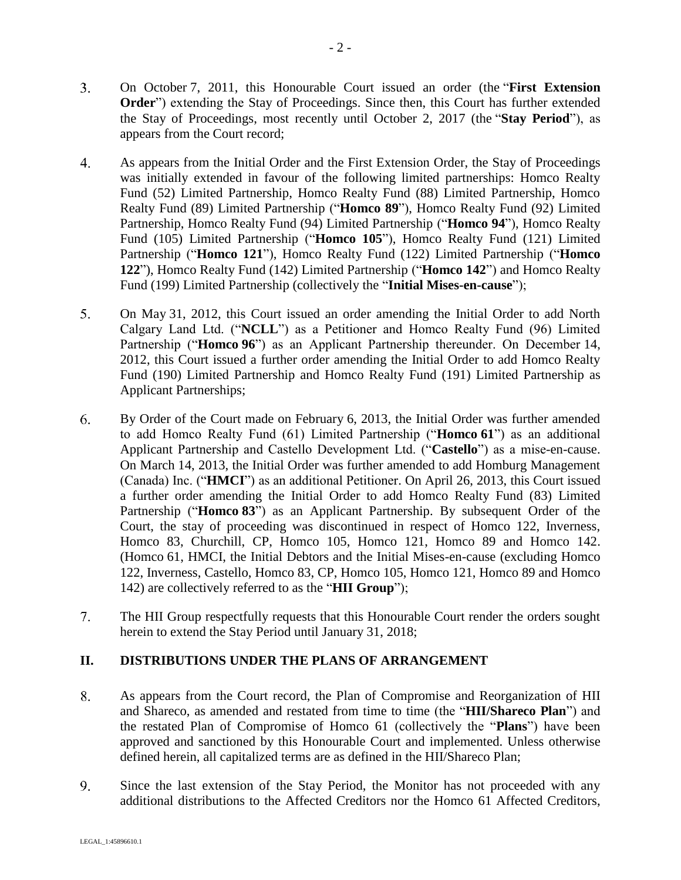- $3.$ On October 7, 2011, this Honourable Court issued an order (the "**First Extension Order**") extending the Stay of Proceedings. Since then, this Court has further extended the Stay of Proceedings, most recently until October 2, 2017 (the "**Stay Period**"), as appears from the Court record;
- 4. As appears from the Initial Order and the First Extension Order, the Stay of Proceedings was initially extended in favour of the following limited partnerships: Homco Realty Fund (52) Limited Partnership, Homco Realty Fund (88) Limited Partnership, Homco Realty Fund (89) Limited Partnership ("**Homco 89**"), Homco Realty Fund (92) Limited Partnership, Homco Realty Fund (94) Limited Partnership ("**Homco 94**"), Homco Realty Fund (105) Limited Partnership ("**Homco 105**"), Homco Realty Fund (121) Limited Partnership ("**Homco 121**"), Homco Realty Fund (122) Limited Partnership ("**Homco 122**"), Homco Realty Fund (142) Limited Partnership ("**Homco 142**") and Homco Realty Fund (199) Limited Partnership (collectively the "**Initial Mises-en-cause**");
- 5. On May 31, 2012, this Court issued an order amending the Initial Order to add North Calgary Land Ltd. ("**NCLL**") as a Petitioner and Homco Realty Fund (96) Limited Partnership ("**Homco 96**") as an Applicant Partnership thereunder. On December 14, 2012, this Court issued a further order amending the Initial Order to add Homco Realty Fund (190) Limited Partnership and Homco Realty Fund (191) Limited Partnership as Applicant Partnerships;
- By Order of the Court made on February 6, 2013, the Initial Order was further amended 6. to add Homco Realty Fund (61) Limited Partnership ("**Homco 61**") as an additional Applicant Partnership and Castello Development Ltd. ("**Castello**") as a mise-en-cause. On March 14, 2013, the Initial Order was further amended to add Homburg Management (Canada) Inc. ("**HMCI**") as an additional Petitioner. On April 26, 2013, this Court issued a further order amending the Initial Order to add Homco Realty Fund (83) Limited Partnership ("**Homco 83**") as an Applicant Partnership. By subsequent Order of the Court, the stay of proceeding was discontinued in respect of Homco 122, Inverness, Homco 83, Churchill, CP, Homco 105, Homco 121, Homco 89 and Homco 142. (Homco 61, HMCI, the Initial Debtors and the Initial Mises-en-cause (excluding Homco 122, Inverness, Castello, Homco 83, CP, Homco 105, Homco 121, Homco 89 and Homco 142) are collectively referred to as the "**HII Group**");
- $7.$ The HII Group respectfully requests that this Honourable Court render the orders sought herein to extend the Stay Period until January 31, 2018;

# **II. DISTRIBUTIONS UNDER THE PLANS OF ARRANGEMENT**

- 8. As appears from the Court record, the Plan of Compromise and Reorganization of HII and Shareco, as amended and restated from time to time (the "**HII/Shareco Plan**") and the restated Plan of Compromise of Homco 61 (collectively the "**Plans**") have been approved and sanctioned by this Honourable Court and implemented. Unless otherwise defined herein, all capitalized terms are as defined in the HII/Shareco Plan;
- 9. Since the last extension of the Stay Period, the Monitor has not proceeded with any additional distributions to the Affected Creditors nor the Homco 61 Affected Creditors,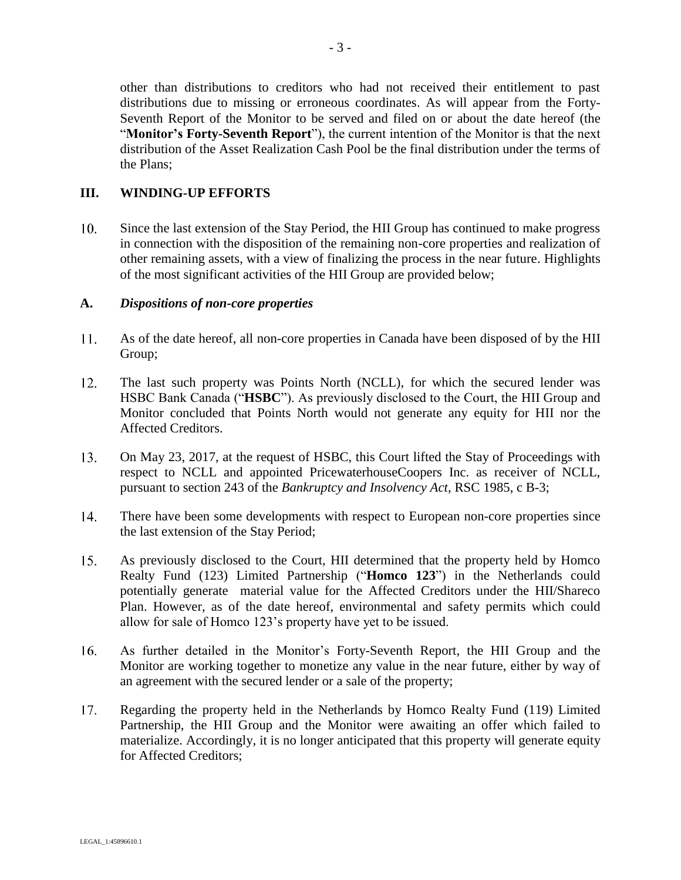other than distributions to creditors who had not received their entitlement to past distributions due to missing or erroneous coordinates. As will appear from the Forty-Seventh Report of the Monitor to be served and filed on or about the date hereof (the "**Monitor's Forty-Seventh Report**"), the current intention of the Monitor is that the next distribution of the Asset Realization Cash Pool be the final distribution under the terms of the Plans;

### **III. WINDING-UP EFFORTS**

 $10.$ Since the last extension of the Stay Period, the HII Group has continued to make progress in connection with the disposition of the remaining non-core properties and realization of other remaining assets, with a view of finalizing the process in the near future. Highlights of the most significant activities of the HII Group are provided below;

#### **A.** *Dispositions of non-core properties*

- 11. As of the date hereof, all non-core properties in Canada have been disposed of by the HII Group;
- 12. The last such property was Points North (NCLL), for which the secured lender was HSBC Bank Canada ("**HSBC**"). As previously disclosed to the Court, the HII Group and Monitor concluded that Points North would not generate any equity for HII nor the Affected Creditors.
- On May 23, 2017, at the request of HSBC, this Court lifted the Stay of Proceedings with 13. respect to NCLL and appointed PricewaterhouseCoopers Inc. as receiver of NCLL, pursuant to section 243 of the *Bankruptcy and Insolvency Act*, RSC 1985, c B-3;
- 14. There have been some developments with respect to European non-core properties since the last extension of the Stay Period;
- 15. As previously disclosed to the Court, HII determined that the property held by Homco Realty Fund (123) Limited Partnership ("**Homco 123**") in the Netherlands could potentially generate material value for the Affected Creditors under the HII/Shareco Plan. However, as of the date hereof, environmental and safety permits which could allow for sale of Homco 123's property have yet to be issued.
- 16. As further detailed in the Monitor's Forty-Seventh Report, the HII Group and the Monitor are working together to monetize any value in the near future, either by way of an agreement with the secured lender or a sale of the property;
- 17. Regarding the property held in the Netherlands by Homco Realty Fund (119) Limited Partnership, the HII Group and the Monitor were awaiting an offer which failed to materialize. Accordingly, it is no longer anticipated that this property will generate equity for Affected Creditors;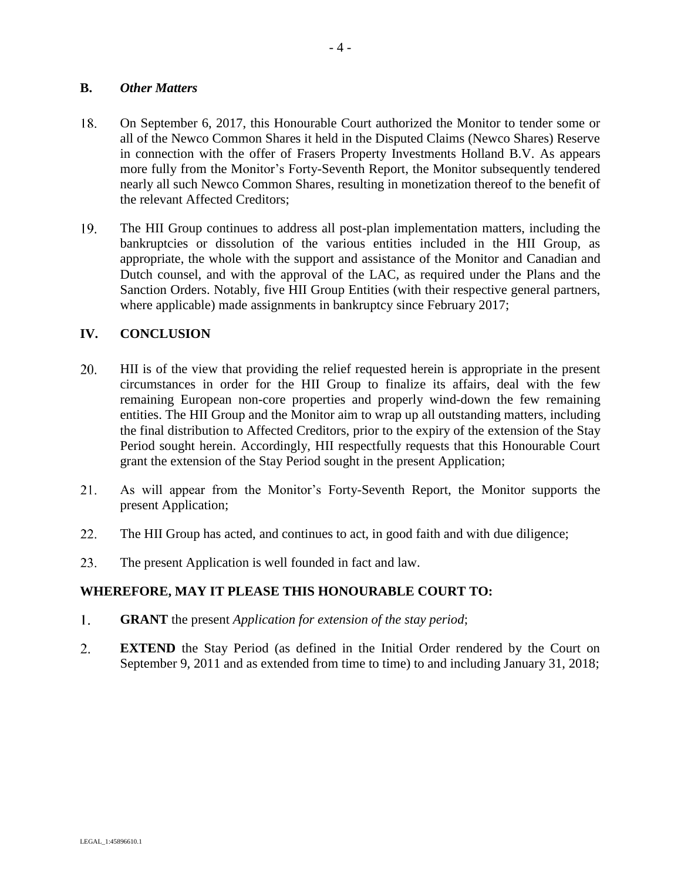### **B.** *Other Matters*

- 18. On September 6, 2017, this Honourable Court authorized the Monitor to tender some or all of the Newco Common Shares it held in the Disputed Claims (Newco Shares) Reserve in connection with the offer of Frasers Property Investments Holland B.V. As appears more fully from the Monitor's Forty-Seventh Report, the Monitor subsequently tendered nearly all such Newco Common Shares, resulting in monetization thereof to the benefit of the relevant Affected Creditors;
- 19. The HII Group continues to address all post-plan implementation matters, including the bankruptcies or dissolution of the various entities included in the HII Group, as appropriate, the whole with the support and assistance of the Monitor and Canadian and Dutch counsel, and with the approval of the LAC, as required under the Plans and the Sanction Orders. Notably, five HII Group Entities (with their respective general partners, where applicable) made assignments in bankruptcy since February 2017;

### **IV. CONCLUSION**

- 20. HII is of the view that providing the relief requested herein is appropriate in the present circumstances in order for the HII Group to finalize its affairs, deal with the few remaining European non-core properties and properly wind-down the few remaining entities. The HII Group and the Monitor aim to wrap up all outstanding matters, including the final distribution to Affected Creditors, prior to the expiry of the extension of the Stay Period sought herein. Accordingly, HII respectfully requests that this Honourable Court grant the extension of the Stay Period sought in the present Application;
- 21. As will appear from the Monitor's Forty-Seventh Report, the Monitor supports the present Application;
- 22. The HII Group has acted, and continues to act, in good faith and with due diligence;
- 23. The present Application is well founded in fact and law.

### **WHEREFORE, MAY IT PLEASE THIS HONOURABLE COURT TO:**

- 1. **GRANT** the present *Application for extension of the stay period*;
- $2.$ **EXTEND** the Stay Period (as defined in the Initial Order rendered by the Court on September 9, 2011 and as extended from time to time) to and including January 31, 2018;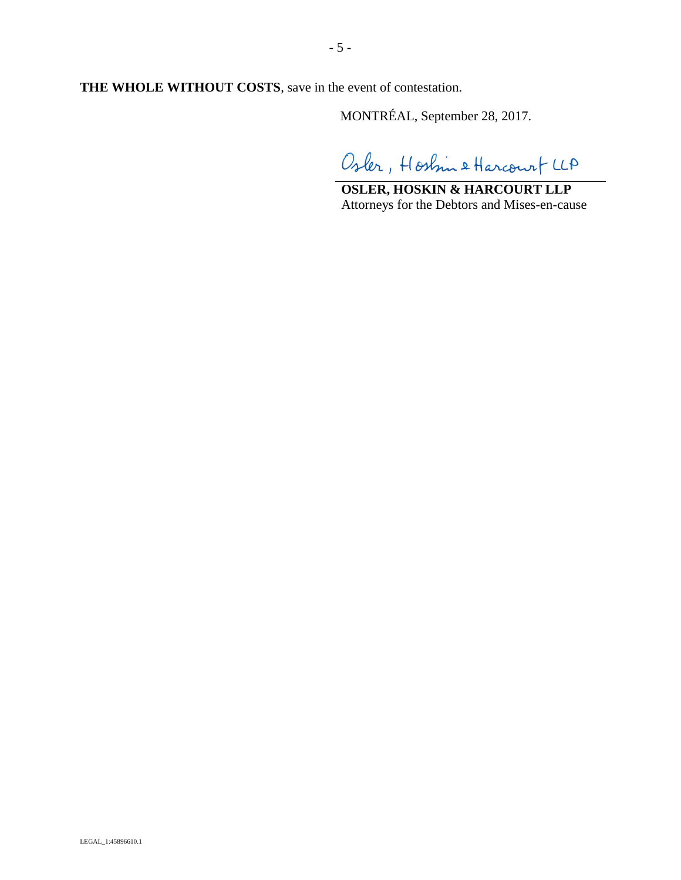**THE WHOLE WITHOUT COSTS**, save in the event of contestation.

MONTRÉAL, September 28, 2017.

Osler, Hostin & Harcourt LLA

**OSLER, HOSKIN & HARCOURT LLP** Attorneys for the Debtors and Mises-en-cause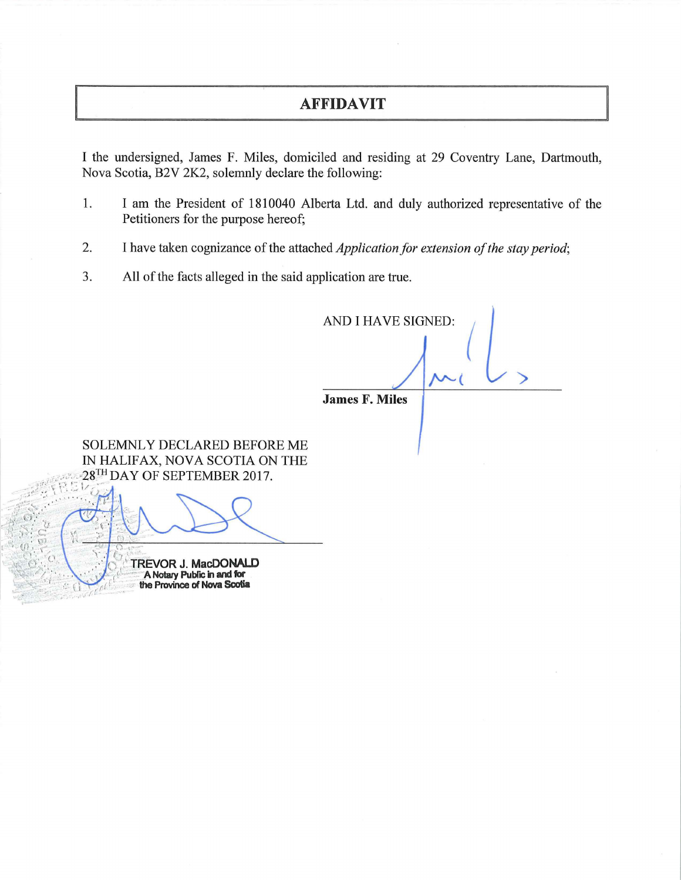# **AFFIDAVIT**

I the undersigned, James F. Miles, domiciled and residing at 29 Coventry Lane, Dartmouth, Nova Scotia, B2V 2K2, solemnly declare the following:

- **1.** I am the President of 1810040 Alberta Ltd. and duly authorized representative of the Petitioners for the purpose hereof;
- 2. I have taken cognizance of the attached *Application for extension of the stay period;*
- 3. All of the facts alleged in the said application are true.

**AND** I **HAVE SIGNED:** *(*  **/v'-(** >

**James F. Miles** 

SOLEMNLY DECLARED BEFORE ME IN HALIFAX, NOVA SCOTIA ON THE 28TH DAY OF SEPTEMBER 2017.

> **TREVOR J. MacDONALD** A Notary Public in and for the Province of Nova Scotia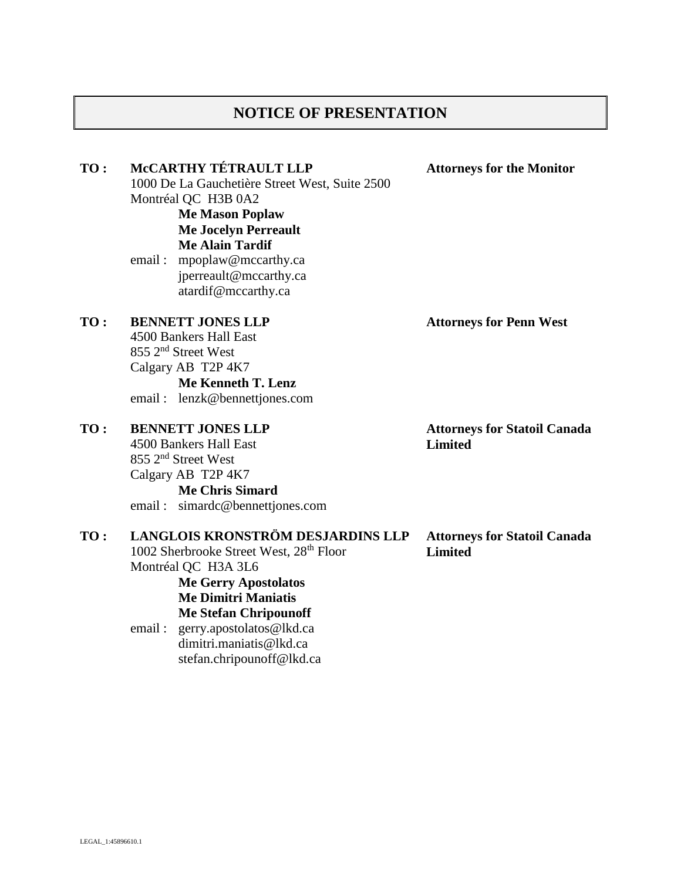# **NOTICE OF PRESENTATION**

**TO : McCARTHY TÉTRAULT LLP**

1000 De La Gauchetière Street West, Suite 2500 Montréal QC H3B 0A2 **Me Mason Poplaw** 

> **Me Jocelyn Perreault Me Alain Tardif**

email : mpoplaw@mccarthy.ca jperreault@mccarthy.ca atardif@mccarthy.ca

### **TO : BENNETT JONES LLP**

4500 Bankers Hall East 855 2 nd Street West Calgary AB T2P 4K7 **Me Kenneth T. Lenz**

email : lenzk@bennettjones.com

### **TO : BENNETT JONES LLP**

4500 Bankers Hall East 855 2nd Street West Calgary AB T2P 4K7 **Me Chris Simard**

email : simardc@bennettjones.com

# **TO : LANGLOIS KRONSTRÖM DESJARDINS LLP**

1002 Sherbrooke Street West, 28<sup>th</sup> Floor Montréal QC H3A 3L6 **Me Gerry Apostolatos Me Dimitri Maniatis**

**Me Stefan Chripounoff**

email : gerry.apostolatos@lkd.ca dimitri.maniatis@lkd.ca stefan.chripounoff@lkd.ca **Attorneys for Penn West**

**Attorneys for the Monitor**

**Attorneys for Statoil Canada Limited**

**Attorneys for Statoil Canada Limited**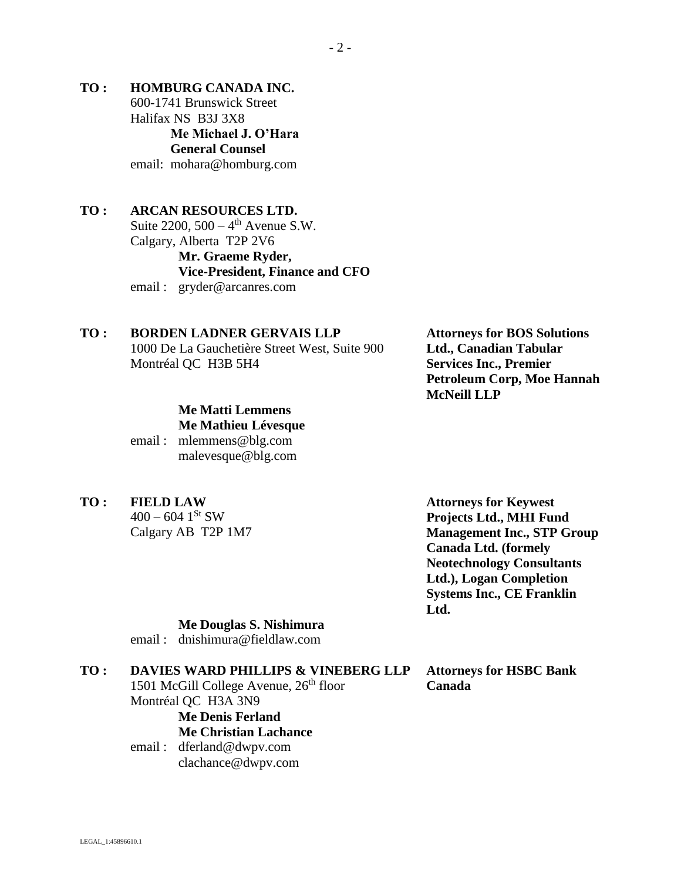**TO : HOMBURG CANADA INC.** 600-1741 Brunswick Street Halifax NS B3J 3X8 **Me Michael J. O'Hara General Counsel** email: mohara@homburg.com

# **TO : ARCAN RESOURCES LTD.** Suite  $2200$ ,  $500 - 4$ <sup>th</sup> Avenue S.W. Calgary, Alberta T2P 2V6 **Mr. Graeme Ryder, Vice-President, Finance and CFO**

email : gryder@arcanres.com

# **TO : BORDEN LADNER GERVAIS LLP**

1000 De La Gauchetière Street West, Suite 900 Montréal QC H3B 5H4

# **Me Matti Lemmens Me Mathieu Lévesque**

email : mlemmens@blg.com malevesque@blg.com

**TO : FIELD LAW**

 $400 - 604$  1<sup>St</sup> SW Calgary AB T2P 1M7

**Attorneys for Keywest Projects Ltd., MHI Fund Management Inc., STP Group Canada Ltd. (formely Neotechnology Consultants Ltd.), Logan Completion Systems Inc., CE Franklin Ltd.**

### **Me Douglas S. Nishimura**

email : dnishimura@fieldlaw.com

#### **TO : DAVIES WARD PHILLIPS & VINEBERG LLP**

1501 McGill College Avenue, 26<sup>th</sup> floor Montréal QC H3A 3N9 **Me Denis Ferland**

### **Me Christian Lachance**

email : dferland@dwpv.com clachance@dwpv.com

**Attorneys for BOS Solutions Ltd., Canadian Tabular Services Inc., Premier Petroleum Corp, Moe Hannah McNeill LLP**

### **Attorneys for HSBC Bank Canada**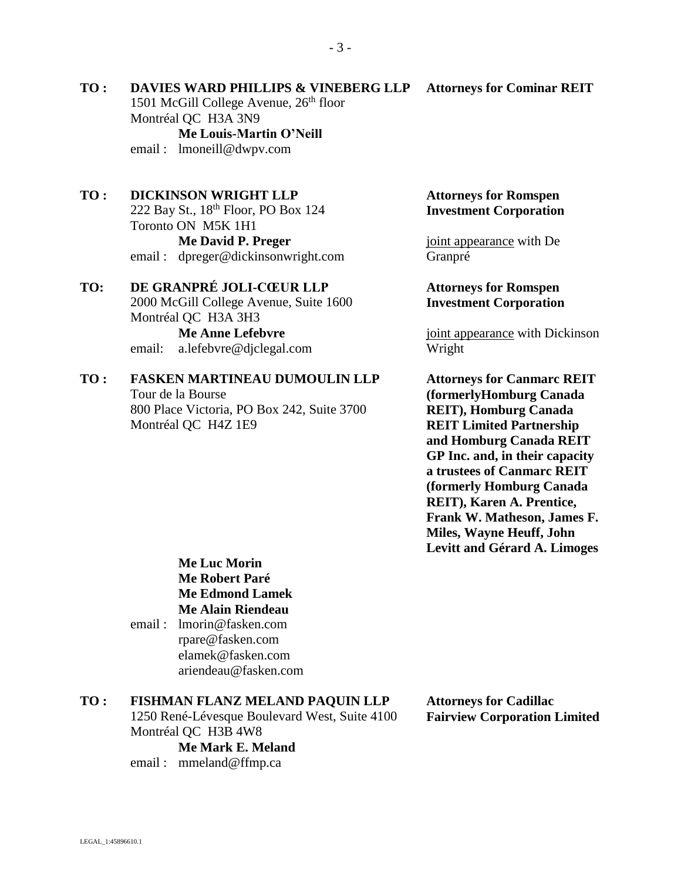#### **Attorneys for Cominar REIT**

1501 McGill College Avenue, 26<sup>th</sup> floor Montréal QC H3A 3N9 **Me Louis-Martin O'Neill** email : lmoneill@dwpv.com

**TO : DAVIES WARD PHILLIPS & VINEBERG LLP**

#### **TO : DICKINSON WRIGHT LLP**

222 Bay St., 18th Floor, PO Box 124 Toronto ON M5K 1H1 **Me David P. Preger** email : dpreger@dickinsonwright.com

### **TO: DE GRANPRÉ JOLI-CŒUR LLP**

2000 McGill College Avenue, Suite 1600 Montréal QC H3A 3H3 **Me Anne Lefebvre**

email: a.lefebvre@djclegal.com

#### **TO : FASKEN MARTINEAU DUMOULIN LLP** Tour de la Bourse

800 Place Victoria, PO Box 242, Suite 3700 Montréal QC H4Z 1E9

### **Attorneys for Romspen Investment Corporation**

joint appearance with De Granpré

### **Attorneys for Romspen Investment Corporation**

joint appearance with Dickinson Wright

**Attorneys for Canmarc REIT (formerlyHomburg Canada REIT), Homburg Canada REIT Limited Partnership and Homburg Canada REIT GP Inc. and, in their capacity a trustees of Canmarc REIT (formerly Homburg Canada REIT), Karen A. Prentice, Frank W. Matheson, James F. Miles, Wayne Heuff, John Levitt and Gérard A. Limoges**

**Me Luc Morin Me Robert Paré Me Edmond Lamek Me Alain Riendeau**

email : lmorin@fasken.com rpare@fasken.com elamek@fasken.com ariendeau@fasken.com

#### **TO : FISHMAN FLANZ MELAND PAQUIN LLP**

1250 René-Lévesque Boulevard West, Suite 4100 Montréal QC H3B 4W8

**Me Mark E. Meland**

email : mmeland@ffmp.ca

**Attorneys for Cadillac Fairview Corporation Limited**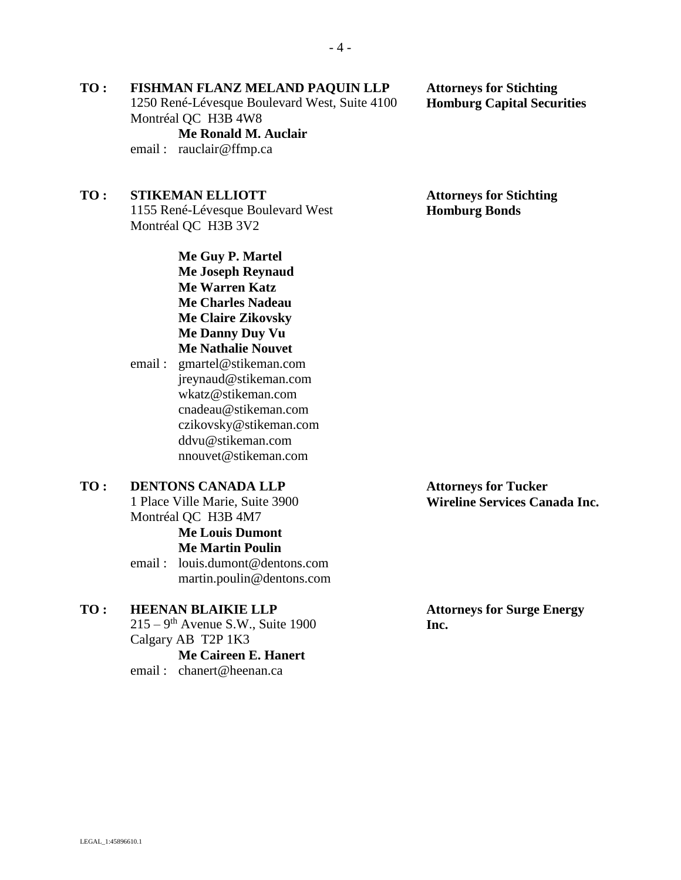# **TO : FISHMAN FLANZ MELAND PAQUIN LLP**

1250 René-Lévesque Boulevard West, Suite 4100 Montréal QC H3B 4W8

**Me Ronald M. Auclair** email : rauclair@ffmp.ca

# **TO : STIKEMAN ELLIOTT**

1155 René-Lévesque Boulevard West Montréal QC H3B 3V2

> **Me Guy P. Martel Me Joseph Reynaud Me Warren Katz Me Charles Nadeau Me Claire Zikovsky Me Danny Duy Vu Me Nathalie Nouvet**

email : gmartel@stikeman.com jreynaud@stikeman.com wkatz@stikeman.com cnadeau@stikeman.com czikovsky@stikeman.com ddvu@stikeman.com nnouvet@stikeman.com

### **TO : DENTONS CANADA LLP** 1 Place Ville Marie, Suite 3900 Montréal QC H3B 4M7 **Me Louis Dumont Me Martin Poulin** email : louis.dumont@dentons.com

martin.poulin@dentons.com

# **TO : HEENAN BLAIKIE LLP**

 $215 - 9$ <sup>th</sup> Avenue S.W., Suite 1900 Calgary AB T2P 1K3 **Me Caireen E. Hanert**

email : chanert@heenan.ca

**Attorneys for Tucker Wireline Services Canada Inc.**

**Attorneys for Stichting Homburg Bonds**

**Attorneys for Stichting Homburg Capital Securities**

**Attorneys for Surge Energy Inc.**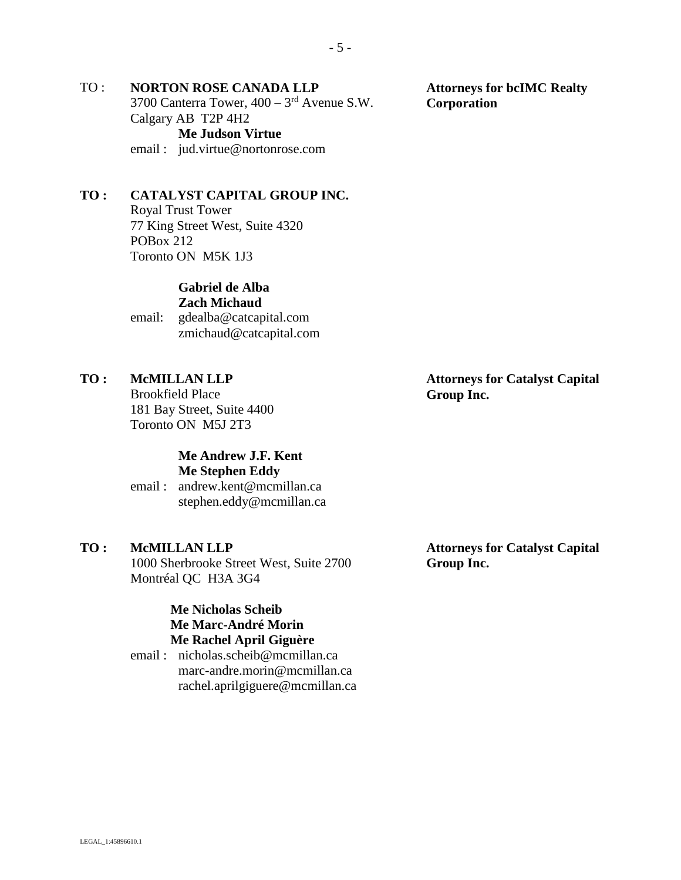# TO : **NORTON ROSE CANADA LLP**

3700 Canterra Tower,  $400 - 3<sup>rd</sup>$  Avenue S.W. Calgary AB T2P 4H2 **Me Judson Virtue** email : jud.virtue@nortonrose.com

### **TO : CATALYST CAPITAL GROUP INC.**

Royal Trust Tower 77 King Street West, Suite 4320 POBox 212 Toronto ON M5K 1J3

#### **Gabriel de Alba Zach Michaud**

email: gdealba@catcapital.com zmichaud@catcapital.com

### **TO : McMILLAN LLP**

Brookfield Place 181 Bay Street, Suite 4400 Toronto ON M5J 2T3

#### **Me Andrew J.F. Kent Me Stephen Eddy**

email : andrew.kent@mcmillan.ca stephen.eddy@mcmillan.ca

#### **TO : McMILLAN LLP**

1000 Sherbrooke Street West, Suite 2700 Montréal QC H3A 3G4

### **Me Nicholas Scheib Me Marc-André Morin Me Rachel April Giguère**

email : nicholas.scheib@mcmillan.ca marc-andre.morin@mcmillan.ca rachel.aprilgiguere@mcmillan.ca

**Attorneys for bcIMC Realty Corporation**

### **Attorneys for Catalyst Capital Group Inc.**

**Attorneys for Catalyst Capital Group Inc.**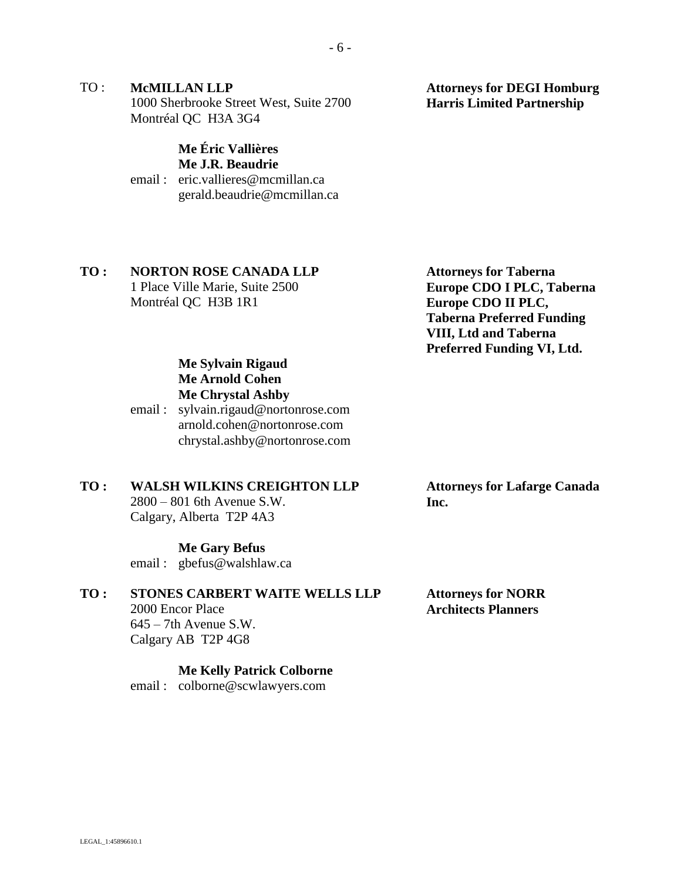TO : **McMILLAN LLP** 1000 Sherbrooke Street West, Suite 2700 Montréal QC H3A 3G4

### **Me Éric Vallières Me J.R. Beaudrie**

email : eric.vallieres@mcmillan.ca gerald.beaudrie@mcmillan.ca

# **TO : NORTON ROSE CANADA LLP**

1 Place Ville Marie, Suite 2500 Montréal QC H3B 1R1

**Attorneys for Taberna Europe CDO I PLC, Taberna Europe CDO II PLC, Taberna Preferred Funding VIII, Ltd and Taberna Preferred Funding VI, Ltd.**

# **Me Sylvain Rigaud Me Arnold Cohen Me Chrystal Ashby**

email : sylvain.rigaud@nortonrose.com arnold.cohen@nortonrose.com chrystal.ashby@nortonrose.com

# **TO : WALSH WILKINS CREIGHTON LLP**

2800 – 801 6th Avenue S.W. Calgary, Alberta T2P 4A3

### **Me Gary Befus**

email : gbefus@walshlaw.ca

# **TO : STONES CARBERT WAITE WELLS LLP**

2000 Encor Place 645 – 7th Avenue S.W. Calgary AB T2P 4G8

#### **Me Kelly Patrick Colborne**

email : colborne@scwlawyers.com

### **Attorneys for Lafarge Canada Inc.**

**Attorneys for NORR Architects Planners**

**Attorneys for DEGI Homburg Harris Limited Partnership**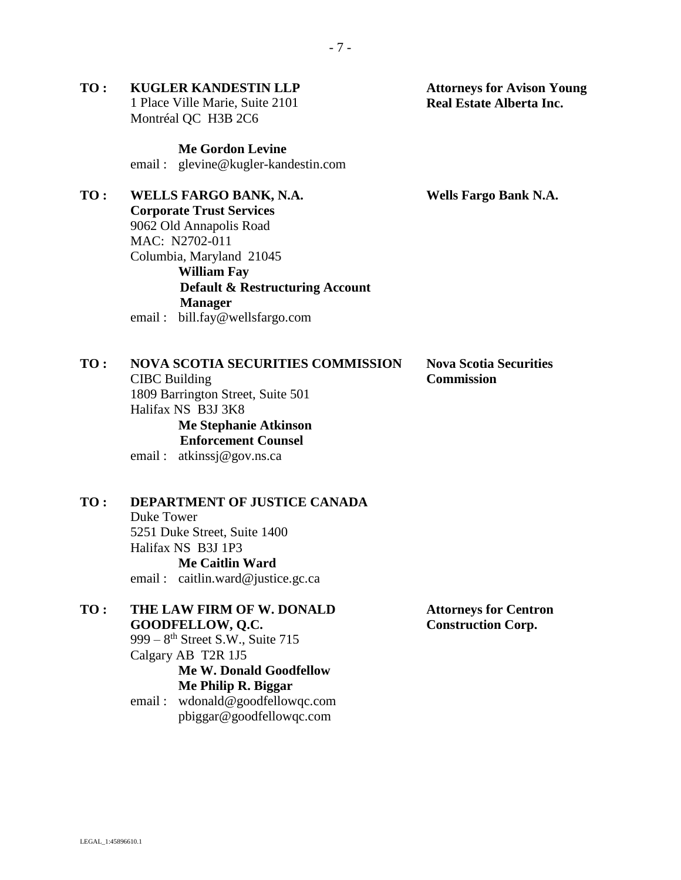### **TO : KUGLER KANDESTIN LLP** 1 Place Ville Marie, Suite 2101 Montréal QC H3B 2C6

**Me Gordon Levine** email : glevine@kugler-kandestin.com

# **TO : WELLS FARGO BANK, N.A.**

**Corporate Trust Services** 9062 Old Annapolis Road MAC: N2702-011 Columbia, Maryland 21045 **William Fay Default & Restructuring Account Manager** email : bill.fay@wellsfargo.com

# **TO : NOVA SCOTIA SECURITIES COMMISSION** CIBC Building 1809 Barrington Street, Suite 501

Halifax NS B3J 3K8 **Me Stephanie Atkinson Enforcement Counsel**

email : atkinssj@gov.ns.ca

# **TO : DEPARTMENT OF JUSTICE CANADA**

Duke Tower 5251 Duke Street, Suite 1400 Halifax NS B3J 1P3 **Me Caitlin Ward**

email : caitlin.ward@justice.gc.ca

# **TO : THE LAW FIRM OF W. DONALD GOODFELLOW, Q.C.**

999 – 8<sup>th</sup> Street S.W., Suite 715 Calgary AB T2R 1J5

**Me W. Donald Goodfellow Me Philip R. Biggar**

email : wdonald@goodfellowqc.com pbiggar@goodfellowqc.com

**Attorneys for Centron Construction Corp.**

**Nova Scotia Securities Commission**

**Wells Fargo Bank N.A.**

**Attorneys for Avison Young Real Estate Alberta Inc.**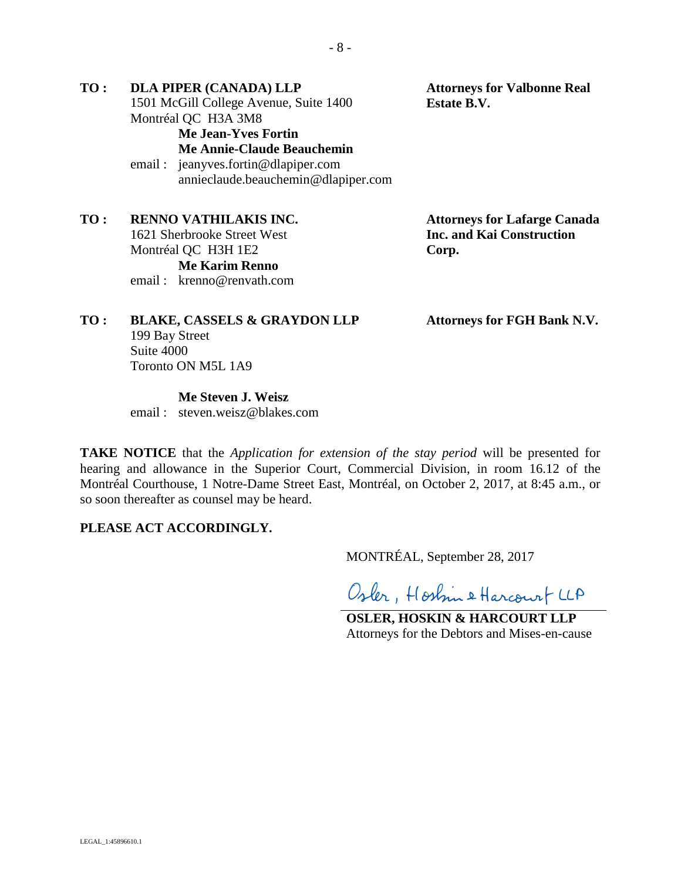**TO : DLA PIPER (CANADA) LLP** 1501 McGill College Avenue, Suite 1400 Montréal QC H3A 3M8 **Attorneys for Valbonne Real Estate B.V. Me Jean-Yves Fortin Me Annie-Claude Beauchemin** email : jeanyves.fortin@dlapiper.com annieclaude.beauchemin@dlapiper.com

**TO : RENNO VATHILAKIS INC.** 1621 Sherbrooke Street West Montréal QC H3H 1E2 **Me Karim Renno** email : krenno@renvath.com

**Attorneys for Lafarge Canada Inc. and Kai Construction Corp.**

**Attorneys for FGH Bank N.V.**

# **TO : BLAKE, CASSELS & GRAYDON LLP** 199 Bay Street Suite 4000 Toronto ON M5L 1A9

**Me Steven J. Weisz**

email : steven.weisz@blakes.com

**TAKE NOTICE** that the *Application for extension of the stay period* will be presented for hearing and allowance in the Superior Court, Commercial Division, in room 16.12 of the Montréal Courthouse, 1 Notre-Dame Street East, Montréal, on October 2, 2017, at 8:45 a.m., or so soon thereafter as counsel may be heard.

# **PLEASE ACT ACCORDINGLY.**

MONTRÉAL, September 28, 2017

Osler, Hostin & Harcourt LLA

**OSLER, HOSKIN & HARCOURT LLP** Attorneys for the Debtors and Mises-en-cause